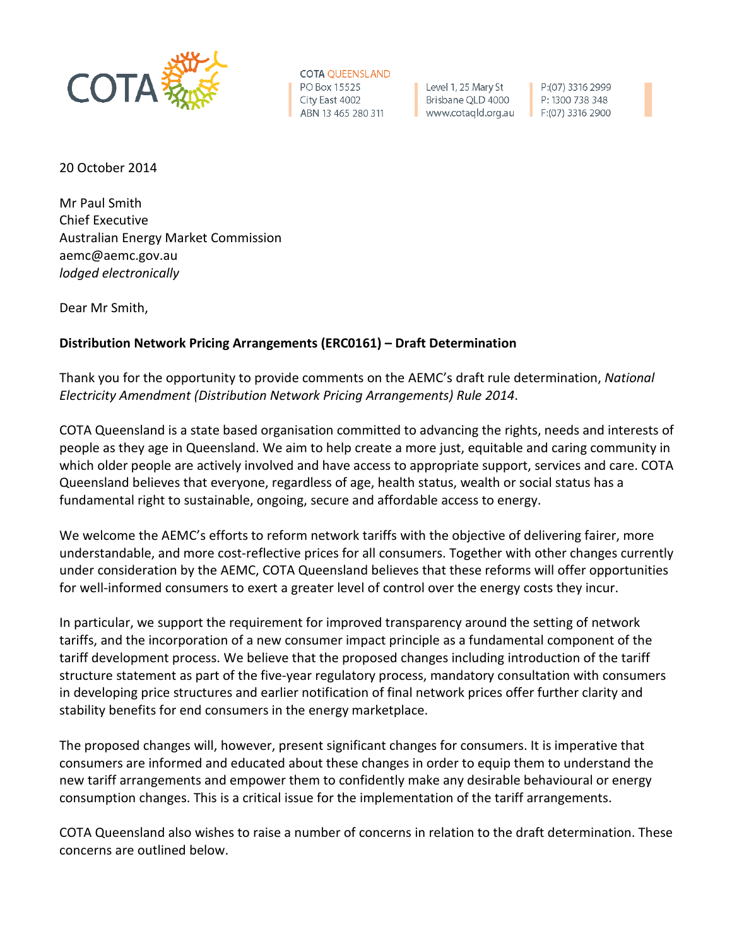

**COTA QUEENSLAND** PO Box 15525 City East 4002 ABN 13 465 280 311

Level 1, 25 Mary St Brisbane QLD 4000 www.cotaqld.org.au

P:(07) 3316 2999 P: 1300 738 348  $F:(07)$  3316 2900

20 October 2014

Mr Paul Smith Chief Executive Australian Energy Market Commission aemc@aemc.gov.au *lodged electronically*

Dear Mr Smith,

# **Distribution Network Pricing Arrangements (ERC0161) – Draft Determination**

Thank you for the opportunity to provide comments on the AEMC's draft rule determination, *National Electricity Amendment (Distribution Network Pricing Arrangements) Rule 2014*.

COTA Queensland is a state based organisation committed to advancing the rights, needs and interests of people as they age in Queensland. We aim to help create a more just, equitable and caring community in which older people are actively involved and have access to appropriate support, services and care. COTA Queensland believes that everyone, regardless of age, health status, wealth or social status has a fundamental right to sustainable, ongoing, secure and affordable access to energy.

We welcome the AEMC's efforts to reform network tariffs with the objective of delivering fairer, more understandable, and more cost-reflective prices for all consumers. Together with other changes currently under consideration by the AEMC, COTA Queensland believes that these reforms will offer opportunities for well-informed consumers to exert a greater level of control over the energy costs they incur.

In particular, we support the requirement for improved transparency around the setting of network tariffs, and the incorporation of a new consumer impact principle as a fundamental component of the tariff development process. We believe that the proposed changes including introduction of the tariff structure statement as part of the five-year regulatory process, mandatory consultation with consumers in developing price structures and earlier notification of final network prices offer further clarity and stability benefits for end consumers in the energy marketplace.

The proposed changes will, however, present significant changes for consumers. It is imperative that consumers are informed and educated about these changes in order to equip them to understand the new tariff arrangements and empower them to confidently make any desirable behavioural or energy consumption changes. This is a critical issue for the implementation of the tariff arrangements.

COTA Queensland also wishes to raise a number of concerns in relation to the draft determination. These concerns are outlined below.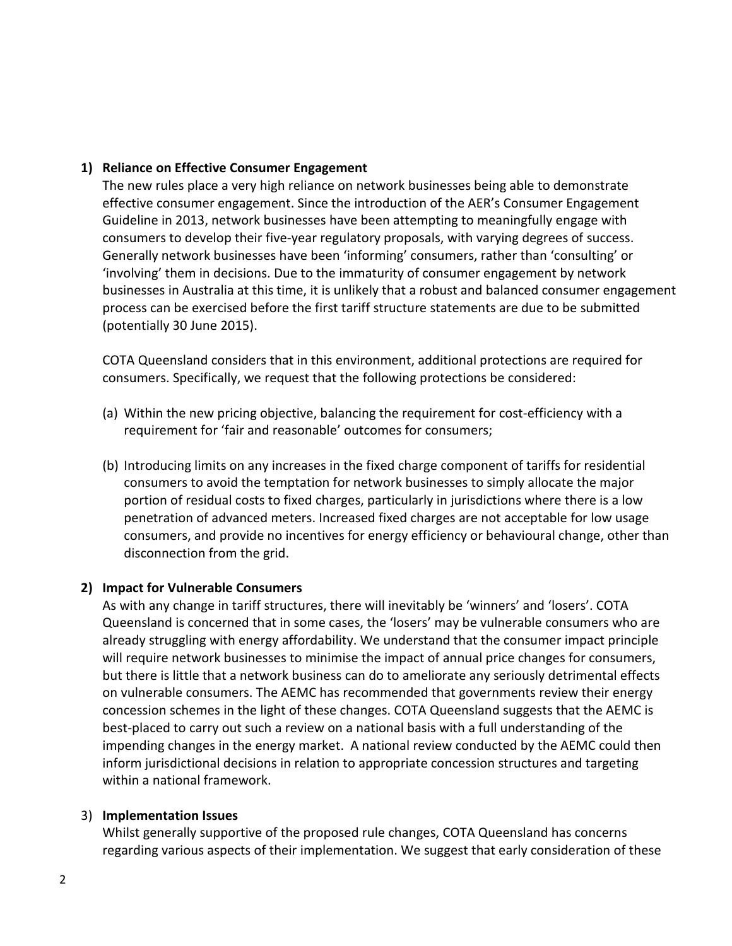## **1) Reliance on Effective Consumer Engagement**

The new rules place a very high reliance on network businesses being able to demonstrate effective consumer engagement. Since the introduction of the AER's Consumer Engagement Guideline in 2013, network businesses have been attempting to meaningfully engage with consumers to develop their five-year regulatory proposals, with varying degrees of success. Generally network businesses have been 'informing' consumers, rather than 'consulting' or 'involving' them in decisions. Due to the immaturity of consumer engagement by network businesses in Australia at this time, it is unlikely that a robust and balanced consumer engagement process can be exercised before the first tariff structure statements are due to be submitted (potentially 30 June 2015).

COTA Queensland considers that in this environment, additional protections are required for consumers. Specifically, we request that the following protections be considered:

- (a) Within the new pricing objective, balancing the requirement for cost-efficiency with a requirement for 'fair and reasonable' outcomes for consumers;
- (b) Introducing limits on any increases in the fixed charge component of tariffs for residential consumers to avoid the temptation for network businesses to simply allocate the major portion of residual costs to fixed charges, particularly in jurisdictions where there is a low penetration of advanced meters. Increased fixed charges are not acceptable for low usage consumers, and provide no incentives for energy efficiency or behavioural change, other than disconnection from the grid.

### **2) Impact for Vulnerable Consumers**

As with any change in tariff structures, there will inevitably be 'winners' and 'losers'. COTA Queensland is concerned that in some cases, the 'losers' may be vulnerable consumers who are already struggling with energy affordability. We understand that the consumer impact principle will require network businesses to minimise the impact of annual price changes for consumers, but there is little that a network business can do to ameliorate any seriously detrimental effects on vulnerable consumers. The AEMC has recommended that governments review their energy concession schemes in the light of these changes. COTA Queensland suggests that the AEMC is best-placed to carry out such a review on a national basis with a full understanding of the impending changes in the energy market. A national review conducted by the AEMC could then inform jurisdictional decisions in relation to appropriate concession structures and targeting within a national framework.

### 3) **Implementation Issues**

Whilst generally supportive of the proposed rule changes, COTA Queensland has concerns regarding various aspects of their implementation. We suggest that early consideration of these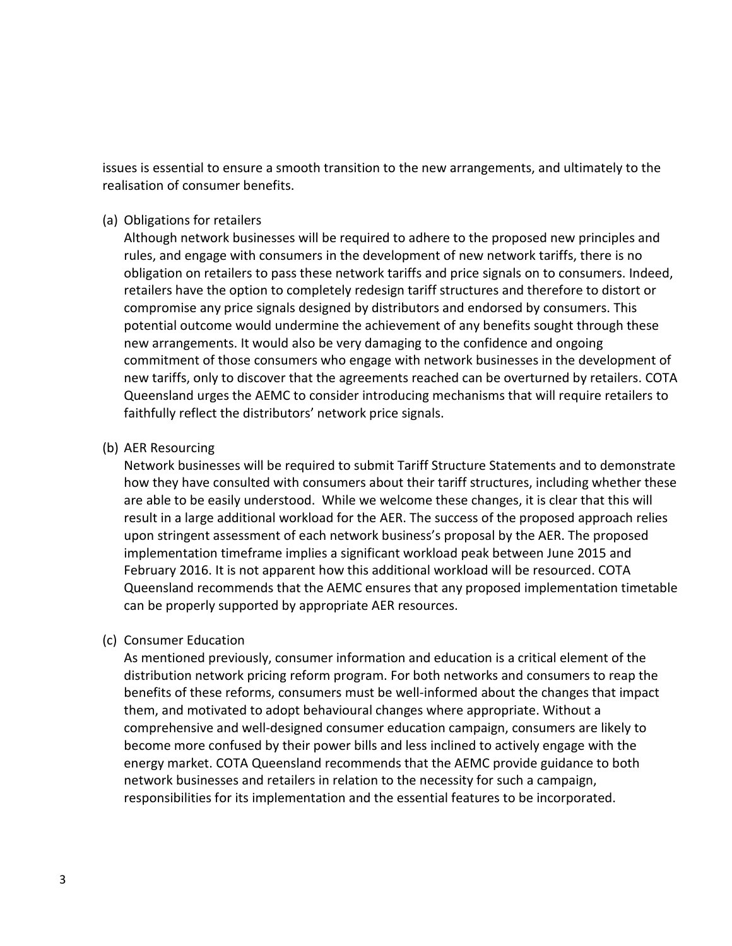issues is essential to ensure a smooth transition to the new arrangements, and ultimately to the realisation of consumer benefits.

#### (a) Obligations for retailers

Although network businesses will be required to adhere to the proposed new principles and rules, and engage with consumers in the development of new network tariffs, there is no obligation on retailers to pass these network tariffs and price signals on to consumers. Indeed, retailers have the option to completely redesign tariff structures and therefore to distort or compromise any price signals designed by distributors and endorsed by consumers. This potential outcome would undermine the achievement of any benefits sought through these new arrangements. It would also be very damaging to the confidence and ongoing commitment of those consumers who engage with network businesses in the development of new tariffs, only to discover that the agreements reached can be overturned by retailers. COTA Queensland urges the AEMC to consider introducing mechanisms that will require retailers to faithfully reflect the distributors' network price signals.

### (b) AER Resourcing

Network businesses will be required to submit Tariff Structure Statements and to demonstrate how they have consulted with consumers about their tariff structures, including whether these are able to be easily understood. While we welcome these changes, it is clear that this will result in a large additional workload for the AER. The success of the proposed approach relies upon stringent assessment of each network business's proposal by the AER. The proposed implementation timeframe implies a significant workload peak between June 2015 and February 2016. It is not apparent how this additional workload will be resourced. COTA Queensland recommends that the AEMC ensures that any proposed implementation timetable can be properly supported by appropriate AER resources.

### (c) Consumer Education

As mentioned previously, consumer information and education is a critical element of the distribution network pricing reform program. For both networks and consumers to reap the benefits of these reforms, consumers must be well-informed about the changes that impact them, and motivated to adopt behavioural changes where appropriate. Without a comprehensive and well-designed consumer education campaign, consumers are likely to become more confused by their power bills and less inclined to actively engage with the energy market. COTA Queensland recommends that the AEMC provide guidance to both network businesses and retailers in relation to the necessity for such a campaign, responsibilities for its implementation and the essential features to be incorporated.